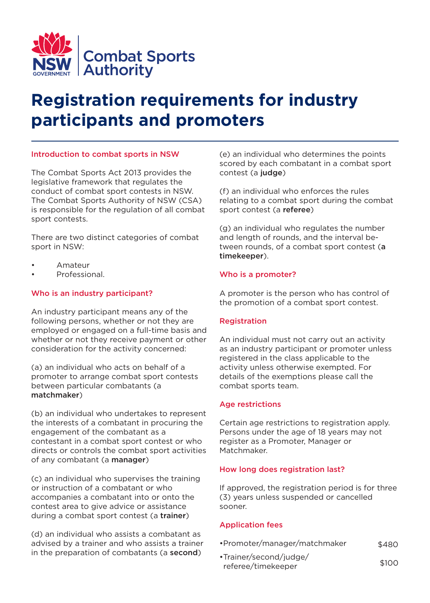

# **Registration requirements for industry participants and promoters**

# Introduction to combat sports in NSW

The Combat Sports Act 2013 provides the legislative framework that regulates the conduct of combat sport contests in NSW. The Combat Sports Authority of NSW (CSA) is responsible for the regulation of all combat sport contests.

There are two distinct categories of combat sport in NSW:

- Amateur
- Professional.

# Who is an industry participant?

An industry participant means any of the following persons, whether or not they are employed or engaged on a full-time basis and whether or not they receive payment or other consideration for the activity concerned:

(a) an individual who acts on behalf of a promoter to arrange combat sport contests between particular combatants (a matchmaker)

(b) an individual who undertakes to represent the interests of a combatant in procuring the engagement of the combatant as a contestant in a combat sport contest or who directs or controls the combat sport activities of any combatant (a **manager**)

(c) an individual who supervises the training or instruction of a combatant or who accompanies a combatant into or onto the contest area to give advice or assistance during a combat sport contest (a trainer)

(d) an individual who assists a combatant as advised by a trainer and who assists a trainer in the preparation of combatants (a second)

(e) an individual who determines the points scored by each combatant in a combat sport contest (a judge)

(f) an individual who enforces the rules relating to a combat sport during the combat sport contest (a referee)

(g) an individual who regulates the number and length of rounds, and the interval between rounds, of a combat sport contest (a timekeeper).

# Who is a promoter?

A promoter is the person who has control of the promotion of a combat sport contest.

# Registration

An individual must not carry out an activity as an industry participant or promoter unless registered in the class applicable to the activity unless otherwise exempted. For details of the exemptions please call the combat sports team.

### Age restrictions

Certain age restrictions to registration apply. Persons under the age of 18 years may not register as a Promoter, Manager or Matchmaker.

# How long does registration last?

If approved, the registration period is for three (3) years unless suspended or cancelled sooner.

# Application fees

- •Promoter/manager/matchmaker \$480
- •Trainer/second/judge/ referee/timekeeper \$100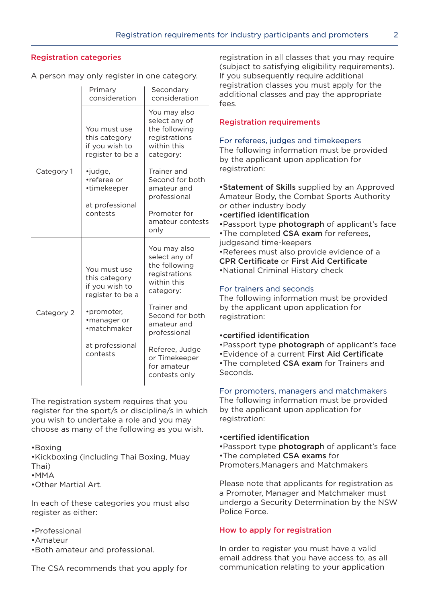# Registration categories

A person may only register in one category.

|            | Primary<br>consideration                                            | Secondary<br>consideration                                                                  |
|------------|---------------------------------------------------------------------|---------------------------------------------------------------------------------------------|
| Category 1 | You must use<br>this category<br>if you wish to<br>register to be a | You may also<br>select any of<br>the following<br>registrations<br>within this<br>category: |
|            | •judge,<br>•referee or<br>•timekeeper<br>at professional            | Trainer and<br>Second for both<br>amateur and<br>professional                               |
|            | contests                                                            | Promoter for<br>amateur contests<br>only                                                    |
| Category 2 | You must use<br>this category<br>if you wish to<br>register to be a | You may also<br>select any of<br>the following<br>registrations<br>within this<br>category: |
|            | •promoter,<br>•manager or<br>•matchmaker                            | Trainer and<br>Second for both<br>amateur and<br>professional                               |
|            | at professional<br>contests                                         | Referee, Judge<br>or Timekeeper<br>for amateur<br>contests only                             |

The registration system requires that you register for the sport/s or discipline/s in which you wish to undertake a role and you may choose as many of the following as you wish.

•Boxing

•Kickboxing (including Thai Boxing, Muay Thai)

•MMA

•Other Martial Art.

In each of these categories you must also register as either:

- •Professional
- •Amateur
- •Both amateur and professional.

The CSA recommends that you apply for

registration in all classes that you may require (subject to satisfying eligibility requirements). If you subsequently require additional registration classes you must apply for the additional classes and pay the appropriate fees.

## Registration requirements

### For referees, judges and timekeepers

The following information must be provided by the applicant upon application for registration:

•Statement of Skills supplied by an Approved Amateur Body, the Combat Sports Authority or other industry body

- •certified identification
- •Passport type **photograph** of applicant's face
- •The completed CSA exam for referees,

judgesand time-keepers •Referees must also provide evidence of a CPR Certificate or First Aid Certificate •National Criminal History check

## For trainers and seconds

The following information must be provided by the applicant upon application for registration:

### •certified identification

•Passport type photograph of applicant's face

•Evidence of a current First Aid Certificate

•The completed CSA exam for Trainers and Seconds.

# For promoters, managers and matchmakers

The following information must be provided by the applicant upon application for registration:

### •certified identification

- •Passport type **photograph** of applicant's face
- •The completed CSA exams for
- Promoters,Managers and Matchmakers

Please note that applicants for registration as a Promoter, Manager and Matchmaker must undergo a Security Determination by the NSW Police Force.

# How to apply for registration

In order to register you must have a valid email address that you have access to, as all communication relating to your application